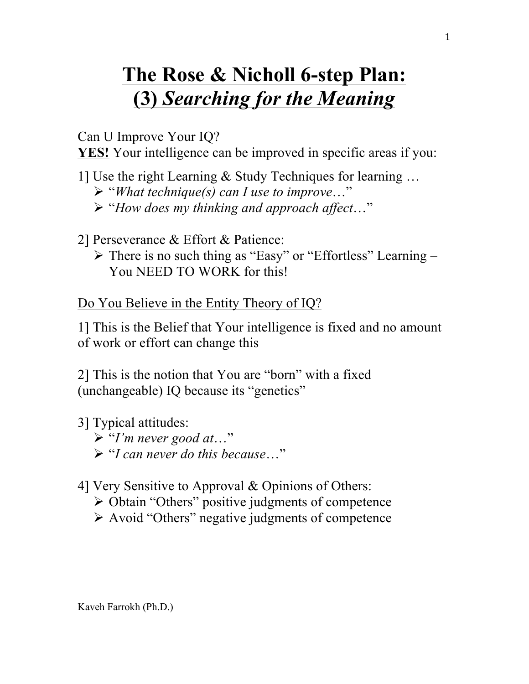## **The Rose & Nicholl 6-step Plan: (3)** *Searching for the Meaning*

Can U Improve Your IQ?

**YES!** Your intelligence can be improved in specific areas if you:

- 1] Use the right Learning & Study Techniques for learning … Ø "*What technique(s) can I use to improve*…" Ø "*How does my thinking and approach affect*…"
- 2] Perseverance & Effort & Patience:
	- $\triangleright$  There is no such thing as "Easy" or "Effortless" Learning You NEED TO WORK for this!

Do You Believe in the Entity Theory of IQ?

1] This is the Belief that Your intelligence is fixed and no amount of work or effort can change this

2] This is the notion that You are "born" with a fixed (unchangeable) IQ because its "genetics"

3] Typical attitudes: Ø "*I'm never good at*…" Ø "*I can never do this because*…"

4] Very Sensitive to Approval & Opinions of Others:

- $\triangleright$  Obtain "Others" positive judgments of competence
- $\triangleright$  Avoid "Others" negative judgments of competence

Kaveh Farrokh (Ph.D.)